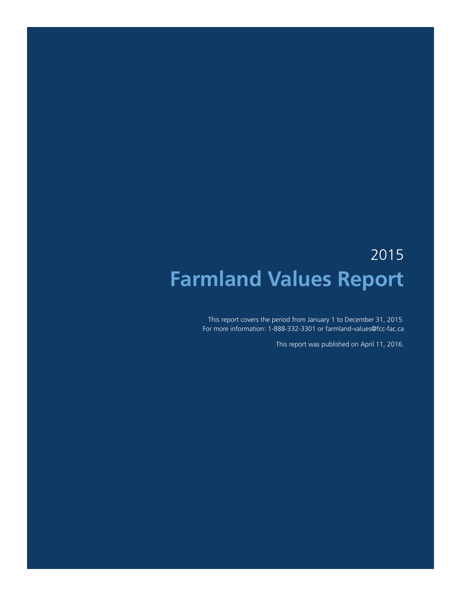# 2015 **Farmland Values Report**

This report covers the period from January 1 to December 31, 2015. For more information: 1-888-332-3301 or farmland-values@fcc-fac.ca

This report was published on April 11, 2016.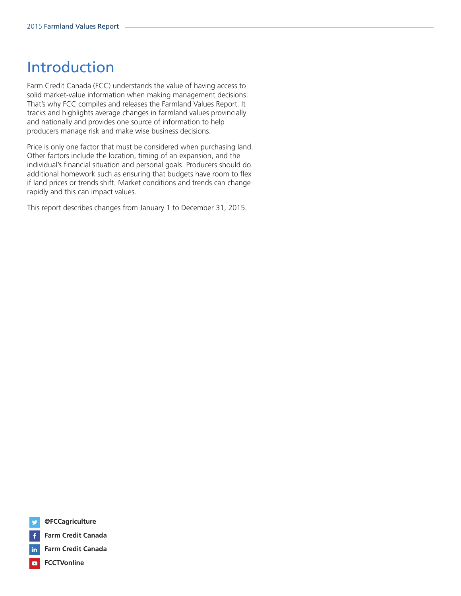# Introduction

Farm Credit Canada (FCC) understands the value of having access to solid market-value information when making management decisions. That's why FCC compiles and releases the Farmland Values Report. It tracks and highlights average changes in farmland values provincially and nationally and provides one source of information to help producers manage risk and make wise business decisions.

Price is only one factor that must be considered when purchasing land. Other factors include the location, timing of an expansion, and the individual's financial situation and personal goals. Producers should do additional homework such as ensuring that budgets have room to flex if land prices or trends shift. Market conditions and trends can change rapidly and this can impact values.

This report describes changes from January 1 to December 31, 2015.





in. **Farm Credit Canada**

**FCCTVonline** $\blacksquare$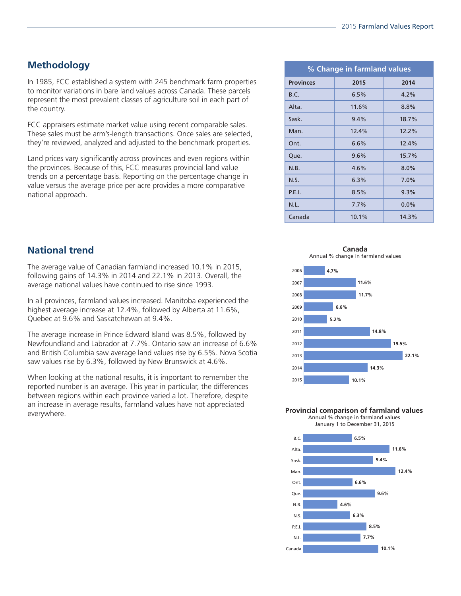# **Methodology**

In 1985, FCC established a system with 245 benchmark farm properties to monitor variations in bare land values across Canada. These parcels represent the most prevalent classes of agriculture soil in each part of the country.

FCC appraisers estimate market value using recent comparable sales. These sales must be arm's-length transactions. Once sales are selected, they're reviewed, analyzed and adjusted to the benchmark properties.

Land prices vary significantly across provinces and even regions within the provinces. Because of this, FCC measures provincial land value trends on a percentage basis. Reporting on the percentage change in value versus the average price per acre provides a more comparative national approach.

| % Change in farmland values |       |         |
|-----------------------------|-------|---------|
| <b>Provinces</b>            | 2015  | 2014    |
| B.C.                        | 6.5%  | 4.2%    |
| Alta.                       | 11.6% | 8.8%    |
| Sask.                       | 9.4%  | 18.7%   |
| Man.                        | 12.4% | 12.2%   |
| Ont.                        | 6.6%  | 12.4%   |
| Que.                        | 9.6%  | 15.7%   |
| N.B.                        | 4.6%  | $8.0\%$ |
| N.S.                        | 6.3%  | 7.0%    |
| P.E.I.                      | 8.5%  | 9.3%    |
| N.L.                        | 7.7%  | 0.0%    |
| Canada                      | 10.1% | 14.3%   |

**National trend**

The average value of Canadian farmland increased 10.1% in 2015, following gains of 14.3% in 2014 and 22.1% in 2013. Overall, the average national values have continued to rise since 1993.

In all provinces, farmland values increased. Manitoba experienced the highest average increase at 12.4%, followed by Alberta at 11.6%, Quebec at 9.6% and Saskatchewan at 9.4%.

The average increase in Prince Edward Island was 8.5%, followed by Newfoundland and Labrador at 7.7%. Ontario saw an increase of 6.6% and British Columbia saw average land values rise by 6.5%. Nova Scotia saw values rise by 6.3%, followed by New Brunswick at 4.6%.

When looking at the national results, it is important to remember the reported number is an average. This year in particular, the differences between regions within each province varied a lot. Therefore, despite an increase in average results, farmland values have not appreciated everywhere.

**Canada** Annual % change in farmland values



**Provincial comparison of farmland values** Annual % change in farmland values

January 1 to December 31, 2015

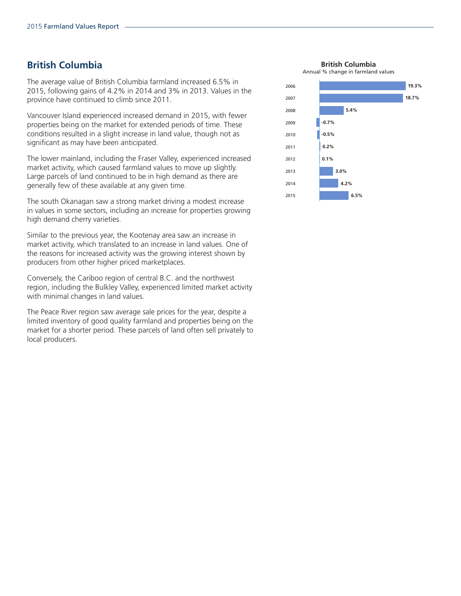#### **British Columbia**

The average value of British Columbia farmland increased 6.5% in 2015, following gains of 4.2% in 2014 and 3% in 2013. Values in the province have continued to climb since 2011.

Vancouver Island experienced increased demand in 2015, with fewer properties being on the market for extended periods of time. These conditions resulted in a slight increase in land value, though not as significant as may have been anticipated.

The lower mainland, including the Fraser Valley, experienced increased market activity, which caused farmland values to move up slightly. Large parcels of land continued to be in high demand as there are generally few of these available at any given time.

The south Okanagan saw a strong market driving a modest increase in values in some sectors, including an increase for properties growing high demand cherry varieties.

Similar to the previous year, the Kootenay area saw an increase in market activity, which translated to an increase in land values. One of the reasons for increased activity was the growing interest shown by producers from other higher priced marketplaces.

Conversely, the Cariboo region of central B.C. and the northwest region, including the Bulkley Valley, experienced limited market activity with minimal changes in land values.

The Peace River region saw average sale prices for the year, despite a limited inventory of good quality farmland and properties being on the market for a shorter period. These parcels of land often sell privately to local producers.

**British Columbia**

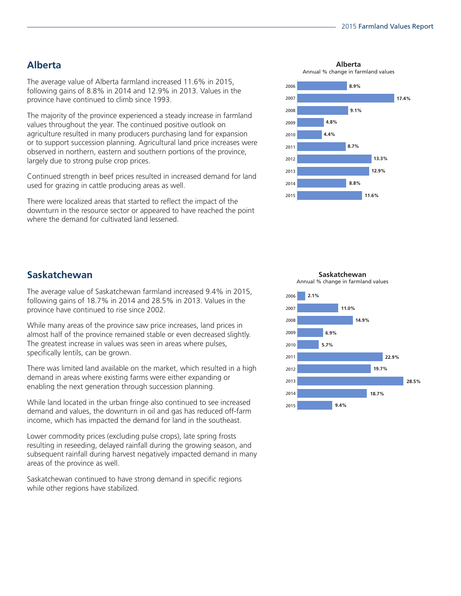# **Alberta**

The average value of Alberta farmland increased 11.6% in 2015, following gains of 8.8% in 2014 and 12.9% in 2013. Values in the province have continued to climb since 1993.

The majority of the province experienced a steady increase in farmland values throughout the year. The continued positive outlook on agriculture resulted in many producers purchasing land for expansion or to support succession planning. Agricultural land price increases were observed in northern, eastern and southern portions of the province, largely due to strong pulse crop prices.

Continued strength in beef prices resulted in increased demand for land used for grazing in cattle producing areas as well.

There were localized areas that started to reflect the impact of the downturn in the resource sector or appeared to have reached the point where the demand for cultivated land lessened.

**Alberta** Annual % change in farmland values



# **Saskatchewan**

The average value of Saskatchewan farmland increased 9.4% in 2015, following gains of 18.7% in 2014 and 28.5% in 2013. Values in the province have continued to rise since 2002.

While many areas of the province saw price increases, land prices in almost half of the province remained stable or even decreased slightly. The greatest increase in values was seen in areas where pulses, specifically lentils, can be grown.

There was limited land available on the market, which resulted in a high demand in areas where existing farms were either expanding or enabling the next generation through succession planning.

While land located in the urban fringe also continued to see increased demand and values, the downturn in oil and gas has reduced off-farm income, which has impacted the demand for land in the southeast.

Lower commodity prices (excluding pulse crops), late spring frosts resulting in reseeding, delayed rainfall during the growing season, and subsequent rainfall during harvest negatively impacted demand in many areas of the province as well.

Saskatchewan continued to have strong demand in specific regions while other regions have stabilized.

2015 2014 2013 2012 2011 2010 2009 2008 2007 2006 **18.7% 6.9% 2.1% 5.7% 14.9% 11.0% 19.7% 22.9% 28.5% 9.4%**

**Saskatchewan** Annual % change in farmland values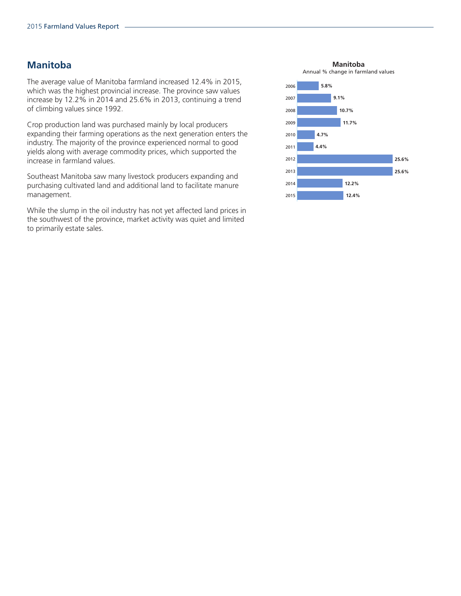#### **Manitoba**

The average value of Manitoba farmland increased 12.4% in 2015, which was the highest provincial increase. The province saw values increase by 12.2% in 2014 and 25.6% in 2013, continuing a trend of climbing values since 1992.

Crop production land was purchased mainly by local producers expanding their farming operations as the next generation enters the industry. The majority of the province experienced normal to good yields along with average commodity prices, which supported the increase in farmland values.

Southeast Manitoba saw many livestock producers expanding and purchasing cultivated land and additional land to facilitate manure management.

While the slump in the oil industry has not yet affected land prices in the southwest of the province, market activity was quiet and limited to primarily estate sales.

**Manitoba**

Annual % change in farmland values

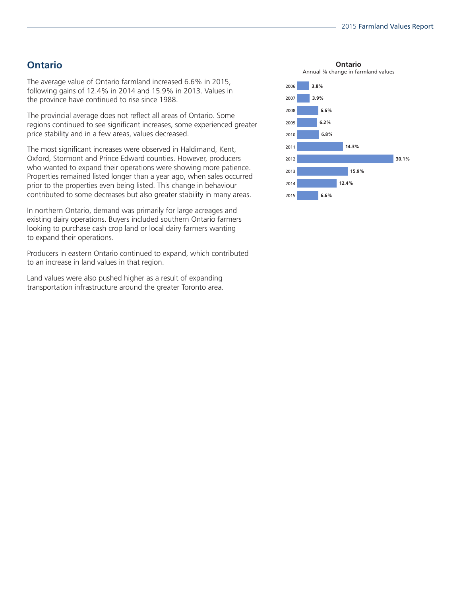# **Ontario**

The average value of Ontario farmland increased 6.6% in 2015, following gains of 12.4% in 2014 and 15.9% in 2013. Values in the province have continued to rise since 1988.

The provincial average does not reflect all areas of Ontario. Some regions continued to see significant increases, some experienced greater price stability and in a few areas, values decreased.

The most significant increases were observed in Haldimand, Kent, Oxford, Stormont and Prince Edward counties. However, producers who wanted to expand their operations were showing more patience. Properties remained listed longer than a year ago, when sales occurred prior to the properties even being listed. This change in behaviour contributed to some decreases but also greater stability in many areas.

In northern Ontario, demand was primarily for large acreages and existing dairy operations. Buyers included southern Ontario farmers looking to purchase cash crop land or local dairy farmers wanting to expand their operations.

Producers in eastern Ontario continued to expand, which contributed to an increase in land values in that region.

Land values were also pushed higher as a result of expanding transportation infrastructure around the greater Toronto area.

**Ontario** Annual % change in farmland values

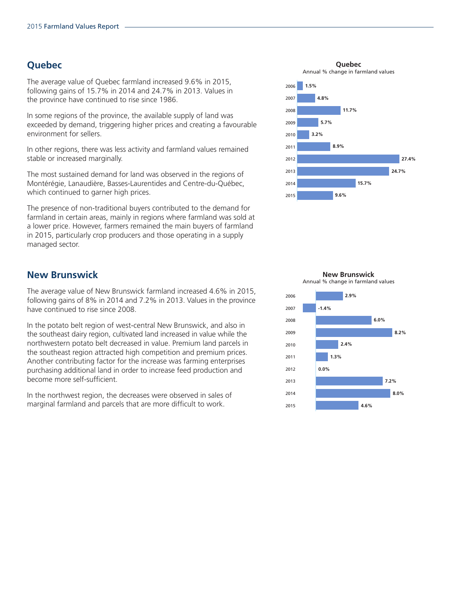# **Quebec**

The average value of Quebec farmland increased 9.6% in 2015, following gains of 15.7% in 2014 and 24.7% in 2013. Values in the province have continued to rise since 1986.

In some regions of the province, the available supply of land was exceeded by demand, triggering higher prices and creating a favourable environment for sellers.

In other regions, there was less activity and farmland values remained stable or increased marginally.

The most sustained demand for land was observed in the regions of Montérégie, Lanaudière, Basses-Laurentides and Centre-du-Québec, which continued to garner high prices.

The presence of non-traditional buyers contributed to the demand for farmland in certain areas, mainly in regions where farmland was sold at a lower price. However, farmers remained the main buyers of farmland in 2015, particularly crop producers and those operating in a supply managed sector.

# **New Brunswick**

The average value of New Brunswick farmland increased 4.6% in 2015, following gains of 8% in 2014 and 7.2% in 2013. Values in the province have continued to rise since 2008.

In the potato belt region of west-central New Brunswick, and also in the southeast dairy region, cultivated land increased in value while the northwestern potato belt decreased in value. Premium land parcels in the southeast region attracted high competition and premium prices. Another contributing factor for the increase was farming enterprises purchasing additional land in order to increase feed production and become more self-sufficient.

In the northwest region, the decreases were observed in sales of marginal farmland and parcels that are more difficult to work.

**Quebec**





**New Brunswick** Annual % change in farmland values

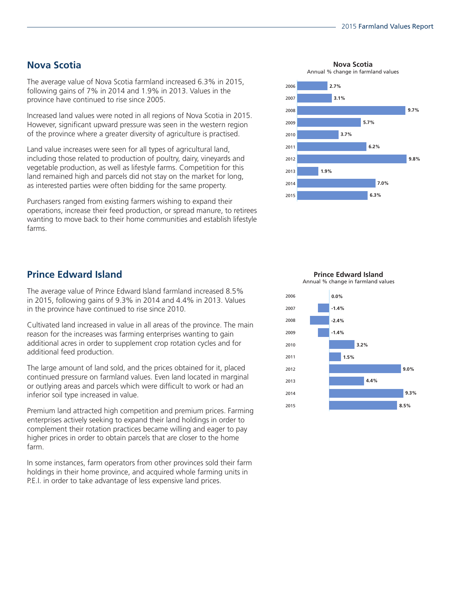## **Nova Scotia**

The average value of Nova Scotia farmland increased 6.3% in 2015, following gains of 7% in 2014 and 1.9% in 2013. Values in the province have continued to rise since 2005.

Increased land values were noted in all regions of Nova Scotia in 2015. However, significant upward pressure was seen in the western region of the province where a greater diversity of agriculture is practised.

Land value increases were seen for all types of agricultural land, including those related to production of poultry, dairy, vineyards and vegetable production, as well as lifestyle farms. Competition for this land remained high and parcels did not stay on the market for long, as interested parties were often bidding for the same property.

Purchasers ranged from existing farmers wishing to expand their operations, increase their feed production, or spread manure, to retirees wanting to move back to their home communities and establish lifestyle farms.

#### **Prince Edward Island**

The average value of Prince Edward Island farmland increased 8.5% in 2015, following gains of 9.3% in 2014 and 4.4% in 2013. Values in the province have continued to rise since 2010.

Cultivated land increased in value in all areas of the province. The main reason for the increases was farming enterprises wanting to gain additional acres in order to supplement crop rotation cycles and for additional feed production.

The large amount of land sold, and the prices obtained for it, placed continued pressure on farmland values. Even land located in marginal or outlying areas and parcels which were difficult to work or had an inferior soil type increased in value.

Premium land attracted high competition and premium prices. Farming enterprises actively seeking to expand their land holdings in order to complement their rotation practices became willing and eager to pay higher prices in order to obtain parcels that are closer to the home farm.

In some instances, farm operators from other provinces sold their farm holdings in their home province, and acquired whole farming units in P.E.I. in order to take advantage of less expensive land prices.

**Nova Scotia**



**9.3% 0.0% 3.2% -1.4% -2.4% -1.4% 9.0% 1.5% 4.4% 8.5%**



**Prince Edward Island** Annual % change in farmland values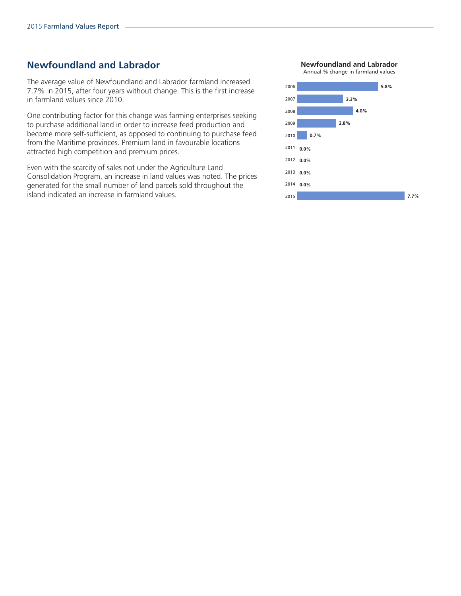## **Newfoundland and Labrador**

The average value of Newfoundland and Labrador farmland increased 7.7% in 2015, after four years without change. This is the first increase in farmland values since 2010.

One contributing factor for this change was farming enterprises seeking to purchase additional land in order to increase feed production and become more self-sufficient, as opposed to continuing to purchase feed from the Maritime provinces. Premium land in favourable locations attracted high competition and premium prices.

Even with the scarcity of sales not under the Agriculture Land Consolidation Program, an increase in land values was noted. The prices generated for the small number of land parcels sold throughout the island indicated an increase in farmland values. <sup>2015</sup>

**Newfoundland and Labrador**



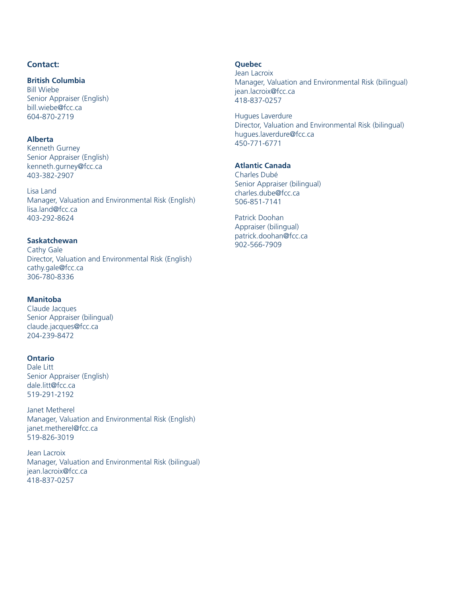#### **Contact:**

#### **British Columbia**

Bill Wiebe Senior Appraiser (English) bill.wiebe@fcc.ca 604-870-2719

#### **Alberta**

Kenneth Gurney Senior Appraiser (English) kenneth.gurney@fcc.ca 403-382-2907

Lisa Land Manager, Valuation and Environmental Risk (English) lisa.land@fcc.ca 403-292-8624

#### **Saskatchewan**

Cathy Gale Director, Valuation and Environmental Risk (English) cathy.gale@fcc.ca 306-780-8336

#### **Manitoba**

Claude Jacques Senior Appraiser (bilingual) claude.jacques@fcc.ca 204-239-8472

#### **Ontario**

Dale Litt Senior Appraiser (English) dale.litt@fcc.ca 519-291-2192

Janet Metherel Manager, Valuation and Environmental Risk (English) janet.metherel@fcc.ca 519-826-3019

Jean Lacroix Manager, Valuation and Environmental Risk (bilingual) jean.lacroix@fcc.ca 418-837-0257

#### **Quebec**

Jean Lacroix Manager, Valuation and Environmental Risk (bilingual) jean.lacroix@fcc.ca 418-837-0257

Hugues Laverdure Director, Valuation and Environmental Risk (bilingual) hugues.laverdure@fcc.ca 450-771-6771

#### **Atlantic Canada**

Charles Dubé Senior Appraiser (bilingual) charles.dube@fcc.ca 506-851-7141

Patrick Doohan Appraiser (bilingual) patrick.doohan@fcc.ca 902-566-7909